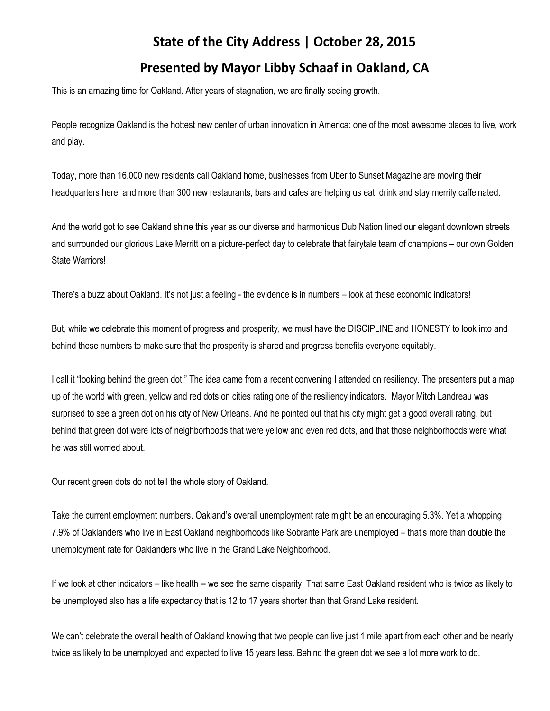## **State of the City Address | October 28, 2015**

## **Presented by Mayor Libby Schaaf in Oakland, CA**

This is an amazing time for Oakland. After years of stagnation, we are finally seeing growth.

People recognize Oakland is the hottest new center of urban innovation in America: one of the most awesome places to live, work and play.

Today, more than 16,000 new residents call Oakland home, businesses from Uber to Sunset Magazine are moving their headquarters here, and more than 300 new restaurants, bars and cafes are helping us eat, drink and stay merrily caffeinated.

And the world got to see Oakland shine this year as our diverse and harmonious Dub Nation lined our elegant downtown streets and surrounded our glorious Lake Merritt on a picture-perfect day to celebrate that fairytale team of champions – our own Golden State Warriors!

There's a buzz about Oakland. It's not just a feeling - the evidence is in numbers – look at these economic indicators!

But, while we celebrate this moment of progress and prosperity, we must have the DISCIPLINE and HONESTY to look into and behind these numbers to make sure that the prosperity is shared and progress benefits everyone equitably.

I call it "looking behind the green dot." The idea came from a recent convening I attended on resiliency. The presenters put a map up of the world with green, yellow and red dots on cities rating one of the resiliency indicators. Mayor Mitch Landreau was surprised to see a green dot on his city of New Orleans. And he pointed out that his city might get a good overall rating, but behind that green dot were lots of neighborhoods that were yellow and even red dots, and that those neighborhoods were what he was still worried about.

Our recent green dots do not tell the whole story of Oakland.

Take the current employment numbers. Oakland's overall unemployment rate might be an encouraging 5.3%. Yet a whopping 7.9% of Oaklanders who live in East Oakland neighborhoods like Sobrante Park are unemployed – that's more than double the unemployment rate for Oaklanders who live in the Grand Lake Neighborhood.

If we look at other indicators – like health -- we see the same disparity. That same East Oakland resident who is twice as likely to be unemployed also has a life expectancy that is 12 to 17 years shorter than that Grand Lake resident.

We can't celebrate the overall health of Oakland knowing that two people can live just 1 mile apart from each other and be nearly twice as likely to be unemployed and expected to live 15 years less. Behind the green dot we see a lot more work to do.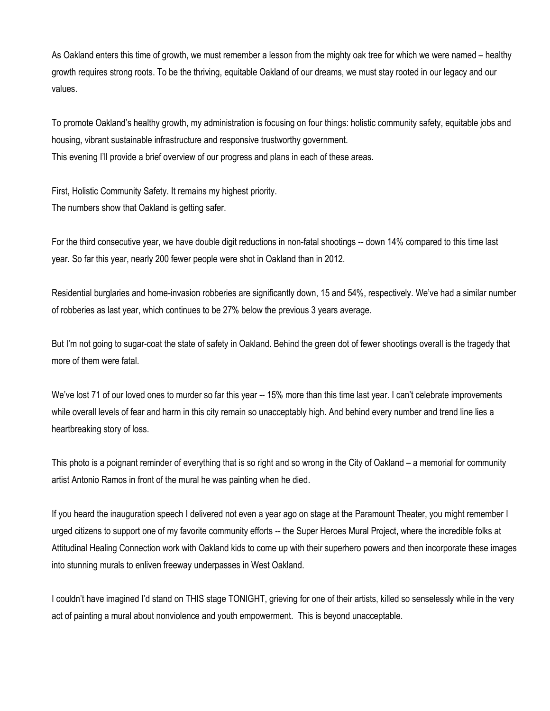As Oakland enters this time of growth, we must remember a lesson from the mighty oak tree for which we were named – healthy growth requires strong roots. To be the thriving, equitable Oakland of our dreams, we must stay rooted in our legacy and our values.

To promote Oakland's healthy growth, my administration is focusing on four things: holistic community safety, equitable jobs and housing, vibrant sustainable infrastructure and responsive trustworthy government. This evening I'll provide a brief overview of our progress and plans in each of these areas.

First, Holistic Community Safety. It remains my highest priority. The numbers show that Oakland is getting safer.

For the third consecutive year, we have double digit reductions in non-fatal shootings -- down 14% compared to this time last year. So far this year, nearly 200 fewer people were shot in Oakland than in 2012.

Residential burglaries and home-invasion robberies are significantly down, 15 and 54%, respectively. We've had a similar number of robberies as last year, which continues to be 27% below the previous 3 years average.

But I'm not going to sugar-coat the state of safety in Oakland. Behind the green dot of fewer shootings overall is the tragedy that more of them were fatal.

We've lost 71 of our loved ones to murder so far this year -- 15% more than this time last year. I can't celebrate improvements while overall levels of fear and harm in this city remain so unacceptably high. And behind every number and trend line lies a heartbreaking story of loss.

This photo is a poignant reminder of everything that is so right and so wrong in the City of Oakland – a memorial for community artist Antonio Ramos in front of the mural he was painting when he died.

If you heard the inauguration speech I delivered not even a year ago on stage at the Paramount Theater, you might remember I urged citizens to support one of my favorite community efforts -- the Super Heroes Mural Project, where the incredible folks at Attitudinal Healing Connection work with Oakland kids to come up with their superhero powers and then incorporate these images into stunning murals to enliven freeway underpasses in West Oakland.

I couldn't have imagined I'd stand on THIS stage TONIGHT, grieving for one of their artists, killed so senselessly while in the very act of painting a mural about nonviolence and youth empowerment. This is beyond unacceptable.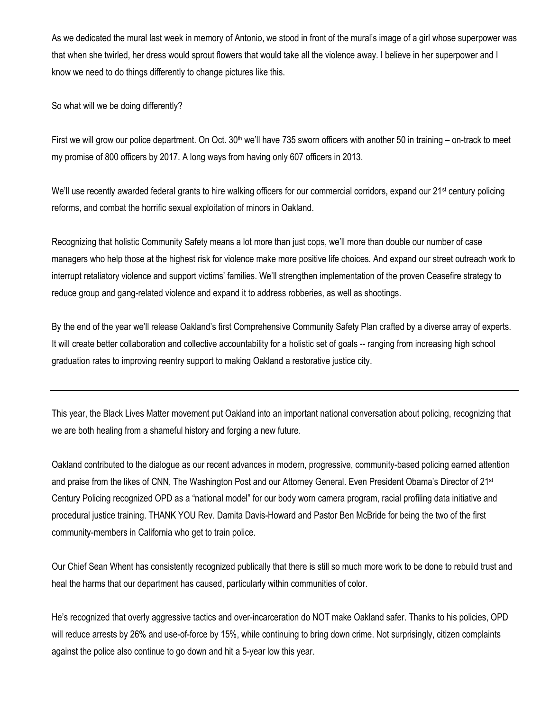As we dedicated the mural last week in memory of Antonio, we stood in front of the mural's image of a girl whose superpower was that when she twirled, her dress would sprout flowers that would take all the violence away. I believe in her superpower and I know we need to do things differently to change pictures like this.

So what will we be doing differently?

First we will grow our police department. On Oct.  $30<sup>th</sup>$  we'll have 735 sworn officers with another 50 in training – on-track to meet my promise of 800 officers by 2017. A long ways from having only 607 officers in 2013.

We'll use recently awarded federal grants to hire walking officers for our commercial corridors, expand our 21<sup>st</sup> century policing reforms, and combat the horrific sexual exploitation of minors in Oakland.

Recognizing that holistic Community Safety means a lot more than just cops, we'll more than double our number of case managers who help those at the highest risk for violence make more positive life choices. And expand our street outreach work to interrupt retaliatory violence and support victims' families. We'll strengthen implementation of the proven Ceasefire strategy to reduce group and gang-related violence and expand it to address robberies, as well as shootings.

By the end of the year we'll release Oakland's first Comprehensive Community Safety Plan crafted by a diverse array of experts. It will create better collaboration and collective accountability for a holistic set of goals -- ranging from increasing high school graduation rates to improving reentry support to making Oakland a restorative justice city.

This year, the Black Lives Matter movement put Oakland into an important national conversation about policing, recognizing that we are both healing from a shameful history and forging a new future.

Oakland contributed to the dialogue as our recent advances in modern, progressive, community-based policing earned attention and praise from the likes of CNN, The Washington Post and our Attorney General. Even President Obama's Director of 21st Century Policing recognized OPD as a "national model" for our body worn camera program, racial profiling data initiative and procedural justice training. THANK YOU Rev. Damita Davis-Howard and Pastor Ben McBride for being the two of the first community-members in California who get to train police.

Our Chief Sean Whent has consistently recognized publically that there is still so much more work to be done to rebuild trust and heal the harms that our department has caused, particularly within communities of color.

He's recognized that overly aggressive tactics and over-incarceration do NOT make Oakland safer. Thanks to his policies, OPD will reduce arrests by 26% and use-of-force by 15%, while continuing to bring down crime. Not surprisingly, citizen complaints against the police also continue to go down and hit a 5-year low this year.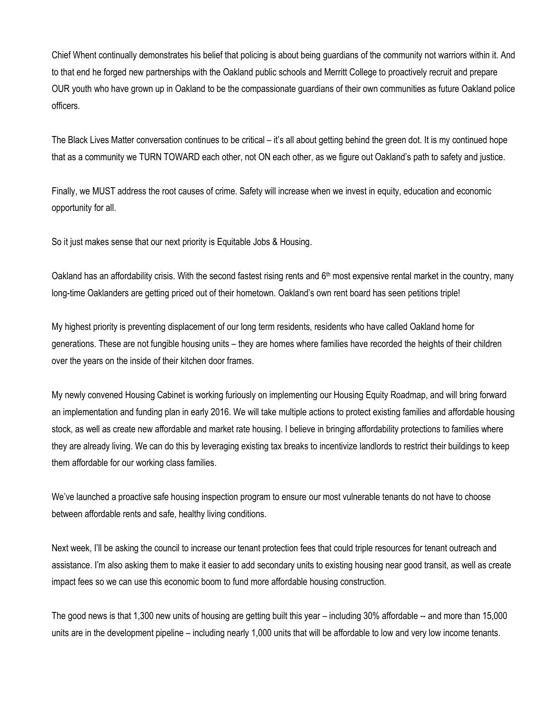Chief Whent continually demonstrates his belief that policing is about being guardians of the community not warriors within it. And to that end he forged new partnerships with the Oakland public schools and Merritt College to proactively recruit and prepare OUR youth who have grown up in Oakland to be the compassionate guardians of their own communities as future Oakland police officers.

The Black Lives Matter conversation continues to be critical – it's all about getting behind the green dot. It is my continued hope that as a community we TURN TOWARD each other, not ON each other, as we figure out Oakland's path to safety and justice.

Finally, we MUST address the root causes of crime. Safety will increase when we invest in equity, education and economic opportunity for all.

So it just makes sense that our next priority is Equitable Jobs & Housing.

Oakland has an affordability crisis. With the second fastest rising rents and 6<sup>th</sup> most expensive rental market in the country, many long-time Oaklanders are getting priced out of their hometown. Oakland's own rent board has seen petitions triple!

My highest priority is preventing displacement of our long term residents, residents who have called Oakland home for generations. These are not fungible housing units – they are homes where families have recorded the heights of their children over the years on the inside of their kitchen door frames.

My newly convened Housing Cabinet is working furiously on implementing our Housing Equity Roadmap, and will bring forward an implementation and funding plan in early 2016. We will take multiple actions to protect existing families and affordable housing stock, as well as create new affordable and market rate housing. I believe in bringing affordability protections to families where they are already living. We can do this by leveraging existing tax breaks to incentivize landlords to restrict their buildings to keep them affordable for our working class families.

We've launched a proactive safe housing inspection program to ensure our most vulnerable tenants do not have to choose between affordable rents and safe, healthy living conditions.

Next week, I'll be asking the council to increase our tenant protection fees that could triple resources for tenant outreach and assistance. I'm also asking them to make it easier to add secondary units to existing housing near good transit, as well as create impact fees so we can use this economic boom to fund more affordable housing construction.

The good news is that 1,300 new units of housing are getting built this year – including 30% affordable -- and more than 15,000 units are in the development pipeline – including nearly 1,000 units that will be affordable to low and very low income tenants.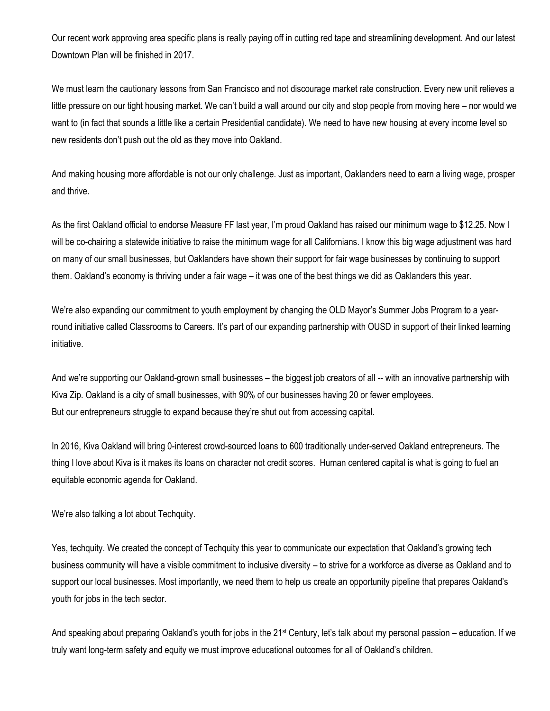Our recent work approving area specific plans is really paying off in cutting red tape and streamlining development. And our latest Downtown Plan will be finished in 2017.

We must learn the cautionary lessons from San Francisco and not discourage market rate construction. Every new unit relieves a little pressure on our tight housing market. We can't build a wall around our city and stop people from moving here – nor would we want to (in fact that sounds a little like a certain Presidential candidate). We need to have new housing at every income level so new residents don't push out the old as they move into Oakland.

And making housing more affordable is not our only challenge. Just as important, Oaklanders need to earn a living wage, prosper and thrive.

As the first Oakland official to endorse Measure FF last year, I'm proud Oakland has raised our minimum wage to \$12.25. Now I will be co-chairing a statewide initiative to raise the minimum wage for all Californians. I know this big wage adjustment was hard on many of our small businesses, but Oaklanders have shown their support for fair wage businesses by continuing to support them. Oakland's economy is thriving under a fair wage – it was one of the best things we did as Oaklanders this year.

We're also expanding our commitment to youth employment by changing the OLD Mayor's Summer Jobs Program to a yearround initiative called Classrooms to Careers. It's part of our expanding partnership with OUSD in support of their linked learning initiative.

And we're supporting our Oakland-grown small businesses – the biggest job creators of all -- with an innovative partnership with Kiva Zip. Oakland is a city of small businesses, with 90% of our businesses having 20 or fewer employees. But our entrepreneurs struggle to expand because they're shut out from accessing capital.

In 2016, Kiva Oakland will bring 0-interest crowd-sourced loans to 600 traditionally under-served Oakland entrepreneurs. The thing I love about Kiva is it makes its loans on character not credit scores. Human centered capital is what is going to fuel an equitable economic agenda for Oakland.

We're also talking a lot about Techquity.

Yes, techquity. We created the concept of Techquity this year to communicate our expectation that Oakland's growing tech business community will have a visible commitment to inclusive diversity – to strive for a workforce as diverse as Oakland and to support our local businesses. Most importantly, we need them to help us create an opportunity pipeline that prepares Oakland's youth for jobs in the tech sector.

And speaking about preparing Oakland's youth for jobs in the  $21<sup>st</sup>$  Century, let's talk about my personal passion – education. If we truly want long-term safety and equity we must improve educational outcomes for all of Oakland's children.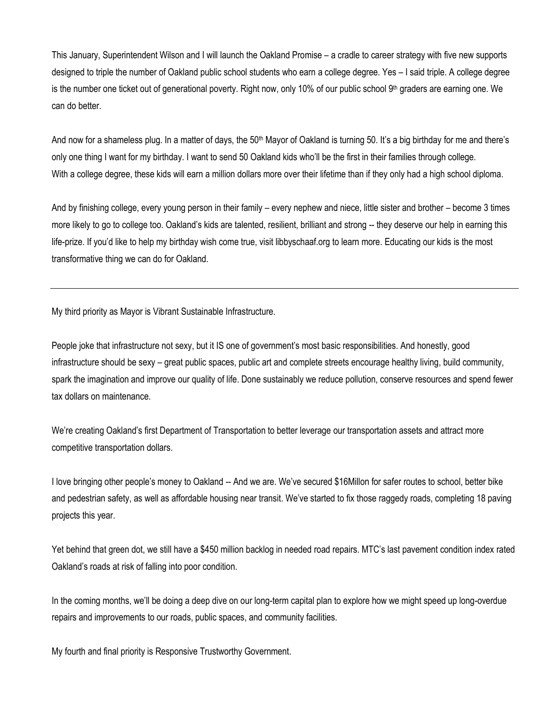This January, Superintendent Wilson and I will launch the Oakland Promise – a cradle to career strategy with five new supports designed to triple the number of Oakland public school students who earn a college degree. Yes – I said triple. A college degree is the number one ticket out of generational poverty. Right now, only 10% of our public school 9<sup>th</sup> graders are earning one. We can do better.

And now for a shameless plug. In a matter of days, the 50<sup>th</sup> Mayor of Oakland is turning 50. It's a big birthday for me and there's only one thing I want for my birthday. I want to send 50 Oakland kids who'll be the first in their families through college. With a college degree, these kids will earn a million dollars more over their lifetime than if they only had a high school diploma.

And by finishing college, every young person in their family – every nephew and niece, little sister and brother – become 3 times more likely to go to college too. Oakland's kids are talented, resilient, brilliant and strong -- they deserve our help in earning this life-prize. If you'd like to help my birthday wish come true, visit libbyschaaf.org to learn more. Educating our kids is the most transformative thing we can do for Oakland.

My third priority as Mayor is Vibrant Sustainable Infrastructure.

People joke that infrastructure not sexy, but it IS one of government's most basic responsibilities. And honestly, good infrastructure should be sexy – great public spaces, public art and complete streets encourage healthy living, build community, spark the imagination and improve our quality of life. Done sustainably we reduce pollution, conserve resources and spend fewer tax dollars on maintenance.

We're creating Oakland's first Department of Transportation to better leverage our transportation assets and attract more competitive transportation dollars.

I love bringing other people's money to Oakland -- And we are. We've secured \$16Millon for safer routes to school, better bike and pedestrian safety, as well as affordable housing near transit. We've started to fix those raggedy roads, completing 18 paving projects this year.

Yet behind that green dot, we still have a \$450 million backlog in needed road repairs. MTC's last pavement condition index rated Oakland's roads at risk of falling into poor condition.

In the coming months, we'll be doing a deep dive on our long-term capital plan to explore how we might speed up long-overdue repairs and improvements to our roads, public spaces, and community facilities.

My fourth and final priority is Responsive Trustworthy Government.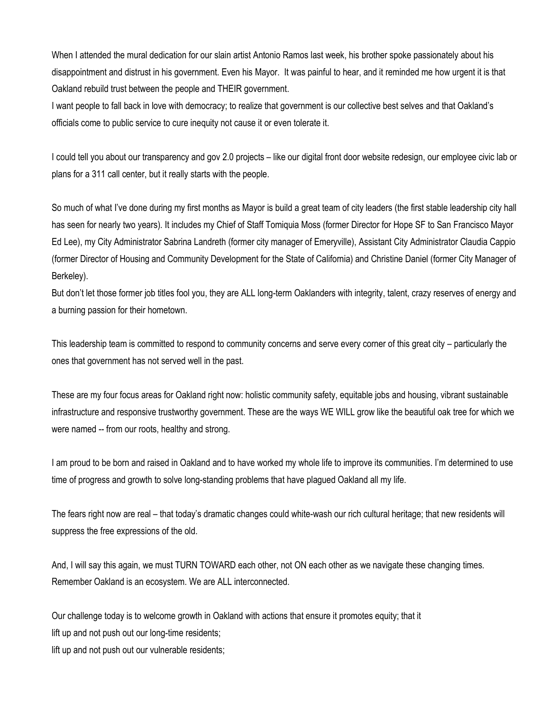When I attended the mural dedication for our slain artist Antonio Ramos last week, his brother spoke passionately about his disappointment and distrust in his government. Even his Mayor. It was painful to hear, and it reminded me how urgent it is that Oakland rebuild trust between the people and THEIR government.

I want people to fall back in love with democracy; to realize that government is our collective best selves and that Oakland's officials come to public service to cure inequity not cause it or even tolerate it.

I could tell you about our transparency and gov 2.0 projects – like our digital front door website redesign, our employee civic lab or plans for a 311 call center, but it really starts with the people.

So much of what I've done during my first months as Mayor is build a great team of city leaders (the first stable leadership city hall has seen for nearly two years). It includes my Chief of Staff Tomiquia Moss (former Director for Hope SF to San Francisco Mayor Ed Lee), my City Administrator Sabrina Landreth (former city manager of Emeryville), Assistant City Administrator Claudia Cappio (former Director of Housing and Community Development for the State of California) and Christine Daniel (former City Manager of Berkeley).

But don't let those former job titles fool you, they are ALL long-term Oaklanders with integrity, talent, crazy reserves of energy and a burning passion for their hometown.

This leadership team is committed to respond to community concerns and serve every corner of this great city – particularly the ones that government has not served well in the past.

These are my four focus areas for Oakland right now: holistic community safety, equitable jobs and housing, vibrant sustainable infrastructure and responsive trustworthy government. These are the ways WE WILL grow like the beautiful oak tree for which we were named -- from our roots, healthy and strong.

I am proud to be born and raised in Oakland and to have worked my whole life to improve its communities. I'm determined to use time of progress and growth to solve long-standing problems that have plagued Oakland all my life.

The fears right now are real – that today's dramatic changes could white-wash our rich cultural heritage; that new residents will suppress the free expressions of the old.

And, I will say this again, we must TURN TOWARD each other, not ON each other as we navigate these changing times. Remember Oakland is an ecosystem. We are ALL interconnected.

Our challenge today is to welcome growth in Oakland with actions that ensure it promotes equity; that it lift up and not push out our long-time residents;

lift up and not push out our vulnerable residents;